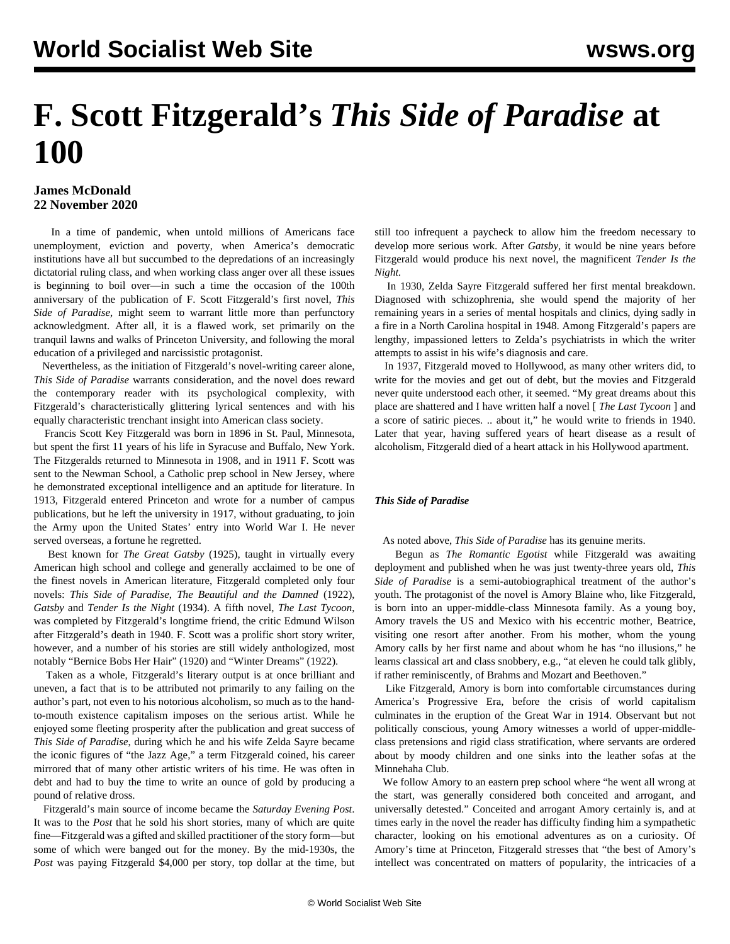## **F. Scott Fitzgerald's** *This Side of Paradise* **at 100**

## **James McDonald 22 November 2020**

 In a time of pandemic, when untold millions of Americans face unemployment, eviction and poverty, when America's democratic institutions have all but succumbed to the depredations of an increasingly dictatorial ruling class, and when working class anger over all these issues is beginning to boil over—in such a time the occasion of the 100th anniversary of the publication of F. Scott Fitzgerald's first novel, *This Side of Paradise*, might seem to warrant little more than perfunctory acknowledgment. After all, it is a flawed work, set primarily on the tranquil lawns and walks of Princeton University, and following the moral education of a privileged and narcissistic protagonist.

 Nevertheless, as the initiation of Fitzgerald's novel-writing career alone, *This Side of Paradise* warrants consideration, and the novel does reward the contemporary reader with its psychological complexity, with Fitzgerald's characteristically glittering lyrical sentences and with his equally characteristic trenchant insight into American class society.

 Francis Scott Key Fitzgerald was born in 1896 in St. Paul, Minnesota, but spent the first 11 years of his life in Syracuse and Buffalo, New York. The Fitzgeralds returned to Minnesota in 1908, and in 1911 F. Scott was sent to the Newman School, a Catholic prep school in New Jersey, where he demonstrated exceptional intelligence and an aptitude for literature. In 1913, Fitzgerald entered Princeton and wrote for a number of campus publications, but he left the university in 1917, without graduating, to join the Army upon the United States' entry into World War I. He never served overseas, a fortune he regretted.

 Best known for *The Great Gatsby* (1925), taught in virtually every American high school and college and generally acclaimed to be one of the finest novels in American literature, Fitzgerald completed only four novels: *This Side of Paradise*, *The Beautiful and the Damned* (1922), *Gatsby* and *Tender Is the Night* (1934). A fifth novel, *The Last Tycoon*, was completed by Fitzgerald's longtime friend, the critic Edmund Wilson after Fitzgerald's death in 1940. F. Scott was a prolific short story writer, however, and a number of his stories are still widely anthologized, most notably "Bernice Bobs Her Hair" (1920) and "Winter Dreams" (1922).

 Taken as a whole, Fitzgerald's literary output is at once brilliant and uneven, a fact that is to be attributed not primarily to any failing on the author's part, not even to his notorious alcoholism, so much as to the handto-mouth existence capitalism imposes on the serious artist. While he enjoyed some fleeting prosperity after the publication and great success of *This Side of Paradise*, during which he and his wife Zelda Sayre became the iconic figures of "the Jazz Age," a term Fitzgerald coined, his career mirrored that of many other artistic writers of his time. He was often in debt and had to buy the time to write an ounce of gold by producing a pound of relative dross.

 Fitzgerald's main source of income became the *Saturday Evening Post*. It was to the *Post* that he sold his short stories, many of which are quite fine—Fitzgerald was a gifted and skilled practitioner of the story form—but some of which were banged out for the money. By the mid-1930s, the *Post* was paying Fitzgerald \$4,000 per story, top dollar at the time, but still too infrequent a paycheck to allow him the freedom necessary to develop more serious work. After *Gatsby*, it would be nine years before Fitzgerald would produce his next novel, the magnificent *Tender Is the Night.*

 In 1930, Zelda Sayre Fitzgerald suffered her first mental breakdown. Diagnosed with schizophrenia, she would spend the majority of her remaining years in a series of mental hospitals and clinics, dying sadly in a fire in a North Carolina hospital in 1948. Among Fitzgerald's papers are lengthy, impassioned letters to Zelda's psychiatrists in which the writer attempts to assist in his wife's diagnosis and care.

 In 1937, Fitzgerald moved to Hollywood, as many other writers did, to write for the movies and get out of debt, but the movies and Fitzgerald never quite understood each other, it seemed. "My great dreams about this place are shattered and I have written half a novel [ *The Last Tycoon* ] and a score of satiric pieces. .. about it," he would write to friends in 1940. Later that year, having suffered years of heart disease as a result of alcoholism, Fitzgerald died of a heart attack in his Hollywood apartment.

## *This Side of Paradise*

As noted above, *This Side of Paradise* has its genuine merits.

 Begun as *The Romantic Egotist* while Fitzgerald was awaiting deployment and published when he was just twenty-three years old, *This Side of Paradise* is a semi-autobiographical treatment of the author's youth. The protagonist of the novel is Amory Blaine who, like Fitzgerald, is born into an upper-middle-class Minnesota family. As a young boy, Amory travels the US and Mexico with his eccentric mother, Beatrice, visiting one resort after another. From his mother, whom the young Amory calls by her first name and about whom he has "no illusions," he learns classical art and class snobbery, e.g., "at eleven he could talk glibly, if rather reminiscently, of Brahms and Mozart and Beethoven."

 Like Fitzgerald, Amory is born into comfortable circumstances during America's Progressive Era, before the crisis of world capitalism culminates in the eruption of the Great War in 1914. Observant but not politically conscious, young Amory witnesses a world of upper-middleclass pretensions and rigid class stratification, where servants are ordered about by moody children and one sinks into the leather sofas at the Minnehaha Club.

 We follow Amory to an eastern prep school where "he went all wrong at the start, was generally considered both conceited and arrogant, and universally detested." Conceited and arrogant Amory certainly is, and at times early in the novel the reader has difficulty finding him a sympathetic character, looking on his emotional adventures as on a curiosity. Of Amory's time at Princeton, Fitzgerald stresses that "the best of Amory's intellect was concentrated on matters of popularity, the intricacies of a